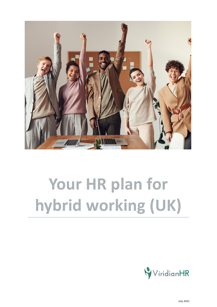

# **Your HR plan for hybrid working (UK)**

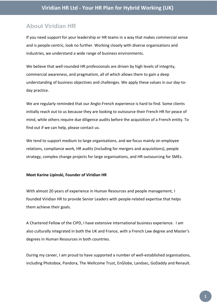# **About Viridian HR**

If you need support for your leadership or HR teams in a way that makes commercial sense and is people-centric, look no further. Working closely with diverse organisations and industries, we understand a wide range of business environments.

We believe that well-rounded HR professionals are driven by high levels of integrity, commercial awareness, and pragmatism, all of which allows them to gain a deep understanding of business objectives and challenges. We apply these values in our day-today practice.

We are regularly reminded that our Anglo-French experience is hard to find. Some clients initially reach out to us because they are looking to outsource their French HR for peace of mind, while others require due diligence audits before the acquisition of a French entity. To find out if we can help, please contact us.

We tend to support medium to large organisations, and we focus mainly on employee relations, compliance work, HR audits (including for mergers and acquisitions), people strategy, complex change projects for large organisations, and HR outsourcing for SMEs.

#### **Meet Karine Lipinski, Founder of Viridian HR**

With almost 20 years of experience in Human Resources and people management, I founded Viridian HR to provide Senior Leaders with people-related expertise that helps them achieve their goals.

A Chartered Fellow of the CIPD, I have extensive international business experience. I am also culturally integrated in both the UK and France, with a French Law degree and Master's degrees in Human Resources in both countries.

During my career, I am proud to have supported a number of well-established organisations, including Photobox, Pandora, The Wellcome Trust, EnGlobe, Landsec, GoDaddy and Renault.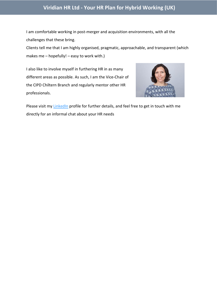# **Viridian HR Ltd - Your HR Plan for Hybrid Working (UK)**

I am comfortable working in post-merger and acquisition environments, with all the challenges that these bring.

Clients tell me that I am highly organised, pragmatic, approachable, and transparent (which makes me – hopefully! – easy to work with.)

I also like to involve myself in furthering HR in as many different areas as possible. As such, I am the Vice-Chair of the CIPD Chiltern Branch and regularly mentor other HR professionals.



Please visit my **[LinkedIn](https://uk.linkedin.com/in/karinelipinski)** profile for further details, and feel free to get in touch with me directly for an informal chat about your HR needs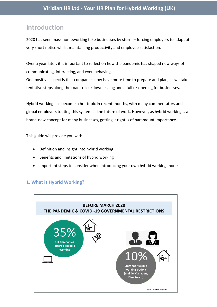# **Introduction**

2020 has seen mass homeworking take businesses by storm – forcing employers to adapt at very short notice whilst maintaining productivity and employee satisfaction.

Over a year later, it is important to reflect on how the pandemic has shaped new ways of communicating, interacting, and even behaving.

One positive aspect is that companies now have more time to prepare and plan, as we take tentative steps along the road to lockdown easing and a full re-opening for businesses.

Hybrid working has become a hot topic in recent months, with many commentators and global employers touting this system as the future of work. However, as hybrid working is a brand-new concept for many businesses, getting it right is of paramount importance.

This guide will provide you with:

- Definition and insight into hybrid working
- Benefits and limitations of hybrid working
- Important steps to consider when introducing your own hybrid working model

# **1. What is Hybrid Working?**

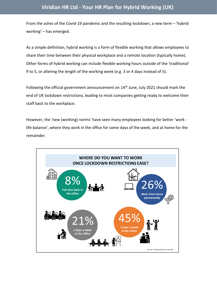From the ashes of the Covid-19 pandemic and the resulting lockdown, a new term – 'hybrid working' – has emerged.

As a simple definition, hybrid working is a form of flexible working that allows employees to share their time between their physical workplace and a remote location (typically home). Other forms of hybrid working can include flexible working hours outside of the 'traditional' 9 to 5, or altering the length of the working week (e.g. 3 or 4 days instead of 5).

Following the official government announcement on  $14<sup>th</sup>$  June, July 2021 should mark the end of UK lockdown restrictions, leading to most companies getting ready to welcome their staff back to the workplace.

However, the 'new (working) norms' have seen many employees looking for better 'work life balance', where they work in the office for some days of the week, and at home for the remainder.

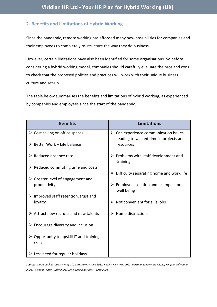## **2. Benefits and Limitations of Hybrid Working**

Since the pandemic, remote working has afforded many new possibilities for companies and their employees to completely re-structure the way they do business.

However, certain limitations have also been identified for some organisations. So before considering a hybrid working model, companies should carefully evaluate the pros and cons to check that the proposed policies and practices will work with their unique business culture and set-up.

The table below summarises the benefits and limitations of hybrid working, as experienced by companies and employees since the start of the pandemic.

| <b>Benefits</b>                                                   | <b>Limitations</b>                                                                             |
|-------------------------------------------------------------------|------------------------------------------------------------------------------------------------|
| $\triangleright$ Cost saving on office spaces                     | $\triangleright$ Can experience communication issues<br>leading to wasted time in projects and |
| $\triangleright$ Better Work - Life balance                       | resources                                                                                      |
| $\triangleright$ Reduced absence rate                             | $\triangleright$ Problems with staff development and<br>training                               |
| $\triangleright$ Reduced commuting time and costs                 | Difficulty separating home and work life                                                       |
| $\triangleright$ Greater level of engagement and                  |                                                                                                |
| productivity                                                      | Employee isolation and its impact on<br>well being                                             |
| $\triangleright$ Improved staff retention, trust and              |                                                                                                |
| loyalty                                                           | Not convenient for all's jobs                                                                  |
| $\triangleright$ Attract new recruits and new talents             | Home distractions                                                                              |
| $\triangleright$ Encourage diversity and inclusion                |                                                                                                |
| $\triangleright$ Opportunity to upskill IT and training<br>skills |                                                                                                |
| $\triangleright$ Less need for regular holidays                   |                                                                                                |

*Sources: CIPD Ebook & toolkit – May 2021, HR News – June 2021, Reality HR – May 2021, Personal today – May 2021, RingCentral – June 2021, Personal Today – May 2021, Virgin Media business – May 2021*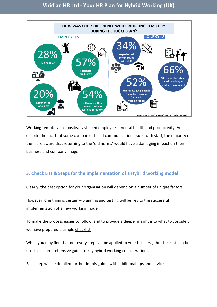

Working remotely has positively shaped employees' mental health and productivity. And despite the fact that some companies faced communication issues with staff, the majority of them are aware that returning to the 'old norms' would have a damaging impact on their business and company image.

# **3. Check List & Steps for the implementation of a Hybrid working model**

Clearly, the best option for your organisation will depend on a number of unique factors.

However, one thing is certain – planning and testing will be key to the successful implementation of a new working model.

To make the process easier to follow, and to provide a deeper insight into what to consider, we have prepared a simple checklist.

While you may find that not every step can be applied to your business, the checklist can be used as a comprehensive guide to key hybrid working considerations.

Each step will be detailed further in this guide, with additional tips and advice.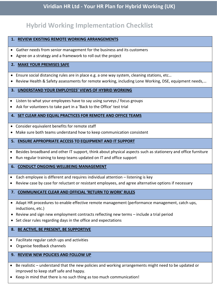# **Hybrid Working Implementation Checklist**

#### **1. REVIEW EXISTING REMOTE WORKING ARRANGEMENTS**

- Gather needs from senior management for the business and its customers
- Agree on a strategy and a framework to roll out the project

#### **2. MAKE YOUR PREMISES SAFE**

- Ensure social distancing rules are in place e.g. a one way system, cleaning stations, etc…
- Review Health & Safety assessments for remote working, including Lone Working, DSE, equipment needs,…

#### **3. UNDERSTAND YOUR EMPLOYEES' VIEWS OF HYBRID WORKING**

- Listen to what your employees have to say using surveys / focus groups
- Ask for volunteers to take part in a 'Back to the Office' test trial

#### **4. SET CLEAR AND EQUAL PRACTICES FOR REMOTE AND OFFICE TEAMS**

- Consider equivalent benefits for remote staff
- Make sure both teams understand how to keep communication consistent

#### **5. ENSURE APPROPRIATE ACCESS TO EQUIPMENT AND IT SUPPORT**

- Besides broadband and other IT support, think about physical aspects such as stationery and office furniture
- Run regular training to keep teams updated on IT and office support

#### **6. CONDUCT ONGOING WELLBEING MANAGEMENT**

- Each employee is different and requires individual attention listening is key
- Review case by case for reluctant or resistant employees, and agree alternative options if necessary

#### **7. COMMUNICATE CLEAR AND OFFICIAL 'RETURN TO WORK' RULES**

- Adapt HR procedures to enable effective remote management (performance management, catch ups, inductions, etc.)
- Review and sign new employment contracts reflecting new terms include a trial period
- Set clear rules regarding days in the office and expectations

#### **8. BE ACTIVE, BE PRESENT, BE SUPPORTIVE**

- Facilitate regular catch ups and activities
- Organise feedback channels

#### **9. REVIEW NEW POLICIES AND FOLLOW UP**

- Be realistic understand that the new policies and working arrangements might need to be updated or improved to keep staff safe and happy.
- Keep in mind that there is no such thing as too much communication!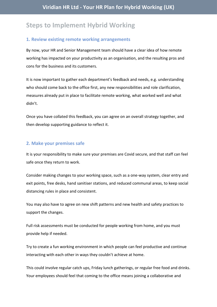# **Steps to Implement Hybrid Working**

## **1. Review existing remote working arrangements**

By now, your HR and Senior Management team should have a clear idea of how remote working has impacted on your productivity as an organisation, and the resulting pros and cons for the business and its customers.

It is now important to gather each department's feedback and needs, e.g. understanding who should come back to the office first, any new responsibilities and role clarification, measures already put in place to facilitate remote working, what worked well and what didn't.

Once you have collated this feedback, you can agree on an overall strategy together, and then develop supporting guidance to reflect it.

#### **2. Make your premises safe**

It is your responsibility to make sure your premises are Covid secure, and that staff can feel safe once they return to work.

Consider making changes to your working space, such as a one-way system, clear entry and exit points, free desks, hand sanitiser stations, and reduced communal areas, to keep social distancing rules in place and consistent.

You may also have to agree on new shift patterns and new health and safety practices to support the changes.

Full risk assessments must be conducted for people working from home, and you must provide help if needed.

Try to create a fun working environment in which people can feel productive and continue interacting with each other in ways they couldn't achieve at home.

This could involve regular catch ups, Friday lunch gatherings, or regular free food and drinks. Your employees should feel that coming to the office means joining a collaborative and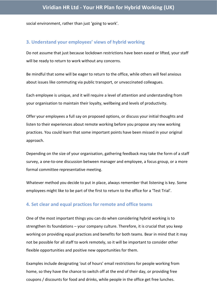social environment, rather than just 'going to work'.

#### **3. Understand your employees' views of hybrid working**

Do not assume that just because lockdown restrictions have been eased or lifted, your staff will be ready to return to work without any concerns.

Be mindful that some will be eager to return to the office, while others will feel anxious about issues like commuting via public transport, or unvaccinated colleagues.

Each employee is unique, and it will require a level of attention and understanding from your organisation to maintain their loyalty, wellbeing and levels of productivity.

Offer your employees a full say on proposed options, or discuss your initial thoughts and listen to their experiences about remote working before you propose any new working practices. You could learn that some important points have been missed in your original approach.

Depending on the size of your organisation, gathering feedback may take the form of a staff survey, a one-to-one discussion between manager and employee, a focus group, or a more formal committee representative meeting.

Whatever method you decide to put in place, always remember that listening is key. Some employees might like to be part of the first to return to the office for a 'Test Trial'.

#### **4. Set clear and equal practices for remote and office teams**

One of the most important things you can do when considering hybrid working is to strengthen its foundations – your company culture. Therefore, it is crucial that you keep working on providing equal practices and benefits for both teams. Bear in mind that it may not be possible for all staff to work remotely, so it will be important to consider other flexible opportunities and positive new opportunities for them.

Examples include designating 'out of hours' email restrictions for people working from home, so they have the chance to switch off at the end of their day, or providing free coupons / discounts for food and drinks, while people in the office get free lunches.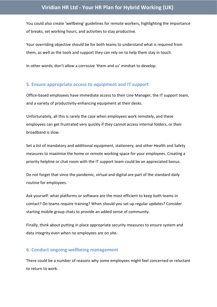You could also create 'wellbeing' guidelines for remote workers, highlighting the importance of breaks, set working hours, and activities to stay productive.

Your overriding objective should be for both teams to understand what is required from them, as well as the tools and support they can rely on to help them stay in touch.

In other words, don't allow a corrosive 'them and us' mindset to develop.

#### **5. Ensure appropriate access to equipment and IT support**

Office-based employees have immediate access to their Line Manager, the IT support team, and a variety of productivity-enhancing equipment at their desks.

Unfortunately, all this is rarely the case when employees work remotely, and these employees can get frustrated very quickly if they cannot access internal folders, or their broadband is slow.

Set a list of mandatory and additional equipment, stationery, and other Health and Safety measures to maximise the home or remote working space for your employees. Creating a priority helpline or chat room with the IT support team could be an appreciated bonus.

Do not forget that since the pandemic, virtual and digital are part of the standard daily routine for employees.

Ask yourself: what platforms or software are the most efficient to keep both teams in contact? Do teams require training? When should you set up regular updates? Consider starting mobile group chats to provide an added sense of community.

Finally, think about putting in place appropriate security measures to ensure system and data integrity even when no employees are on site**.** 

#### **6. Conduct ongoing wellbeing management**

There could be a number of reasons why some employees might feel concerned or reluctant to return to work.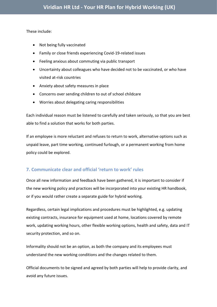These include:

- Not being fully vaccinated
- Family or close friends experiencing Covid-19-related issues
- Feeling anxious about commuting via public transport
- Uncertainty about colleagues who have decided not to be vaccinated, or who have visited at-risk countries
- Anxiety about safety measures in place
- Concerns over sending children to out of school childcare
- Worries about delegating caring responsibilities

Each individual reason must be listened to carefully and taken seriously, so that you are best able to find a solution that works for both parties.

If an employee is more reluctant and refuses to return to work, alternative options such as unpaid leave, part time working, continued furlough, or a permanent working from home policy could be explored.

# **7. Communicate clear and official 'return to work' rules**

Once all new information and feedback have been gathered, it is important to consider if the new working policy and practices will be incorporated into your existing HR handbook, or if you would rather create a separate guide for hybrid working.

Regardless, certain legal implications and procedures must be highlighted, e.g. updating existing contracts, insurance for equipment used at home, locations covered by remote work, updating working hours, other flexible working options, health and safety, data and IT security protection, and so on.

Informality should not be an option, as both the company and its employees must understand the new working conditions and the changes related to them.

Official documents to be signed and agreed by both parties will help to provide clarity, and avoid any future issues.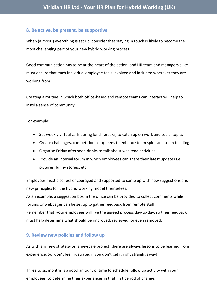## **8. Be active, be present, be supportive**

When (almost!) everything is set up, consider that staying in touch is likely to become the most challenging part of your new hybrid working process.

Good communication has to be at the heart of the action, and HR team and managers alike must ensure that each individual employee feels involved and included wherever they are working from.

Creating a routine in which both office-based and remote teams can interact will help to instil a sense of community.

For example:

- Set weekly virtual calls during lunch breaks, to catch up on work and social topics
- Create challenges, competitions or quizzes to enhance team spirit and team building
- Organise Friday afternoon drinks to talk about weekend activities
- Provide an internal forum in which employees can share their latest updates i.e. pictures, funny stories, etc.

Employees must also feel encouraged and supported to come up with new suggestions and new principles for the hybrid working model themselves.

As an example, a suggestion box in the office can be provided to collect comments while forums or webpages can be set up to gather feedback from remote staff. Remember that your employees will live the agreed process day-to-day, so their feedback must help determine what should be improved, reviewed, or even removed.

## **9. Review new policies and follow up**

As with any new strategy or large-scale project, there are always lessons to be learned from experience. So, don't feel frustrated if you don't get it right straight away!

Three to six months is a good amount of time to schedule follow up activity with your employees, to determine their experiences in that first period of change.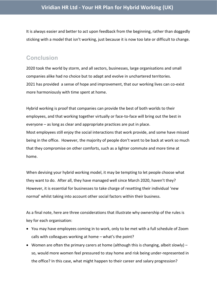It is always easier and better to act upon feedback from the beginning, rather than doggedly sticking with a model that isn't working, just because it is now too late or difficult to change.

# **Conclusion**

2020 took the world by storm, and all sectors, businesses, large organisations and small companies alike had no choice but to adapt and evolve in unchartered territories. 2021 has provided a sense of hope and improvement, that our working lives can co-exist more harmoniously with time spent at home.

Hybrid working is proof that companies can provide the best of both worlds to their employees, and that working together virtually or face-to-face will bring out the best in everyone – as long as clear and appropriate practices are put in place. Most employees still enjoy the social interactions that work provide, and some have missed being in the office. However, the majority of people don't want to be back at work so much that they compromise on other comforts, such as a lighter commute and more time at home.

When devising your hybrid working model, it may be tempting to let people choose what they want to do. After all, they have managed well since March 2020, haven't they? However, it is essential for businesses to take charge of resetting their individual 'new normal' whilst taking into account other social factors within their business.

As a final note, here are three considerations that illustrate why ownership of the rules is key for each organisation:

- You may have employees coming in to work, only to be met with a full schedule of Zoom calls with colleagues working at home – what's the point?
- Women are often the primary carers at home (although this is changing, albeit slowly) so, would more women feel pressured to stay home and risk being under-represented in the office? In this case, what might happen to their career and salary progression?